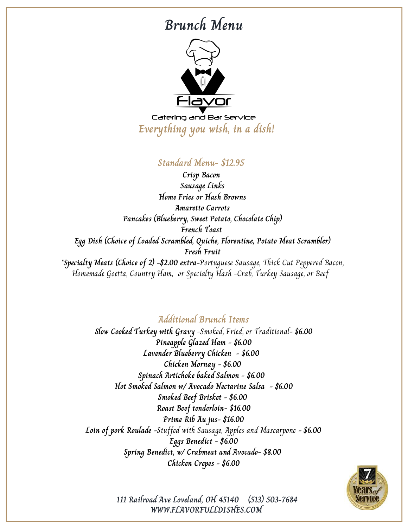# **Brunch Menu**



Catering and Bar Service **Everything you wish, in a dish!**

### **Standard Menu- \$12.95**

**Crisp Bacon Sausage Links Home Fries or Hash Browns Amaretto Carrots Pancakes (Blueberry, Sweet Potato, Chocolate Chip) French Toast Egg Dish (Choice of Loaded Scrambled, Quiche, Florentine, Potato Meat Scrambler) Fresh Fruit \*Specialty Meats (Choice of 2) -\$2.00 extra-**Portuguese Sausage, Thick Cut Peppered Bacon,

Homemade Goetta, Country Ham, or Specialty Hash -Crab, Turkey Sausage, or Beef

**Additional Brunch Items**

**Slow Cooked Turkey with Gravy** -Smoked, Fried, or Traditional**- \$6.00 Pineapple Glazed Ham - \$6.00 Lavender Blueberry Chicken - \$6.00 Chicken Mornay - \$6.00 Spinach Artichoke baked Salmon - \$6.00 Hot Smoked Salmon w/ Avocado Nectarine Salsa - \$6.00 Smoked Beef Brisket - \$6.00 Roast Beef tenderloin- \$16.00 Prime Rib Au jus- \$16.00 Loin of pork Roulade -**Stuffed with Sausage, Apples and Mascarpone **- \$6.00 Eggs Benedict - \$6.00 Spring Benedict, w/ Crabmeat and Avocado- \$8.00 Chicken Crepes - \$6.00**



**WWW.FLAVORFULLDISHES.COM 111 Railroad Ave Loveland, OH 45140 (513) 503-7684**